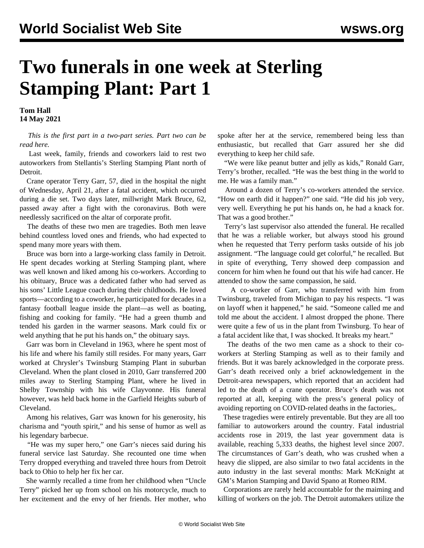## **Two funerals in one week at Sterling Stamping Plant: Part 1**

**Tom Hall 14 May 2021**

 *This is the first part in a two-part series. Part two can be read [here.](/en/articles/2021/05/15/garr-m15.html)*

 Last week, family, friends and coworkers laid to rest two autoworkers from Stellantis's Sterling Stamping Plant north of Detroit.

 Crane operator Terry Garr, 57, died in the hospital the night of Wednesday, April 21, after a fatal accident, which occurred during a die set. Two days later, millwright Mark Bruce, 62, passed away after a fight with the coronavirus. Both were needlessly sacrificed on the altar of corporate profit.

 The deaths of these two men are tragedies. Both men leave behind countless loved ones and friends, who had expected to spend many more years with them.

 Bruce was born into a large-working class family in Detroit. He spent decades working at Sterling Stamping plant, where was well known and liked among his co-workers. According to his [obituary,](https://www.tributearchive.com/obituaries/20917476/Mark-Allan-Bruce) Bruce was a dedicated father who had served as his sons' Little League coach during their childhoods. He loved sports—according to a coworker, he participated for decades in a fantasy football league inside the plant—as well as boating, fishing and cooking for family. "He had a green thumb and tended his garden in the warmer seasons. Mark could fix or weld anything that he put his hands on," the obituary says.

 Garr was born in Cleveland in 1963, where he spent most of his life and where his family still resides. For many years, Garr worked at Chrysler's Twinsburg Stamping Plant in suburban Cleveland. When the plant closed in 2010, Garr transferred 200 miles away to Sterling Stamping Plant, where he lived in Shelby Township with his wife Clayvonne. His funeral however, was held back home in the Garfield Heights suburb of Cleveland.

 Among his relatives, Garr was known for his generosity, his charisma and "youth spirit," and his sense of humor as well as his legendary barbecue.

 "He was my super hero," one Garr's nieces said during his funeral service last Saturday. She recounted one time when Terry dropped everything and traveled three hours from Detroit back to Ohio to help her fix her car.

 She warmly recalled a time from her childhood when "Uncle Terry" picked her up from school on his motorcycle, much to her excitement and the envy of her friends. Her mother, who spoke after her at the service, remembered being less than enthusiastic, but recalled that Garr assured her she did everything to keep her child safe.

 "We were like peanut butter and jelly as kids," Ronald Garr, Terry's brother, recalled. "He was the best thing in the world to me. He was a family man."

 Around a dozen of Terry's co-workers attended the service. "How on earth did it happen?" one said. "He did his job very, very well. Everything he put his hands on, he had a knack for. That was a good brother."

 Terry's last supervisor also attended the funeral. He recalled that he was a reliable worker, but always stood his ground when he requested that Terry perform tasks outside of his job assignment. "The language could get colorful," he recalled. But in spite of everything, Terry showed deep compassion and concern for him when he found out that his wife had cancer. He attended to show the same compassion, he said.

 A co-worker of Garr, who transferred with him from Twinsburg, traveled from Michigan to pay his respects. "I was on layoff when it happened," he said. "Someone called me and told me about the accident. I almost dropped the phone. There were quite a few of us in the plant from Twinsburg. To hear of a fatal accident like that, I was shocked. It breaks my heart."

 The deaths of the two men came as a shock to their coworkers at Sterling Stamping as well as to their family and friends. But it was barely acknowledged in the corporate press. Garr's death received only a brief acknowledgement in the Detroit-area newspapers, which reported that an accident had led to the death of a crane operator. Bruce's death was not reported at all, keeping with the press's general policy of avoiding reporting on COVID-related deaths in the factories,.

 These tragedies were entirely preventable. But they are all too familiar to autoworkers around the country. Fatal industrial accidents rose in 2019, the last year government data is available, reaching 5,333 deaths, the highest level since 2007. The circumstances of Garr's death, who was crushed when a heavy die slipped, are also similar to two fatal accidents in the auto industry in the last several months: [Mark McKnight](/en/articles/2021/01/04/gm-j04.html) at GM's Marion Stamping and [David Spano](/en/articles/2020/11/14/part-n14.html) at Romeo RIM.

 Corporations are rarely held accountable for the maiming and killing of workers on the job. The Detroit automakers utilize the